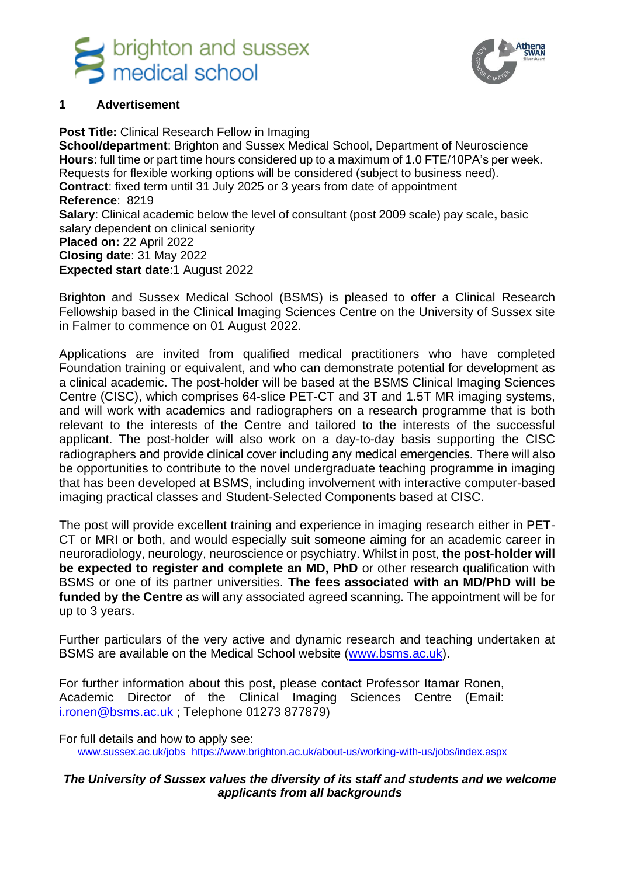



#### **1 Advertisement**

**Post Title:** Clinical Research Fellow in Imaging **School/department**: Brighton and Sussex Medical School, Department of Neuroscience **Hours**: full time or part time hours considered up to a maximum of 1.0 FTE/10PA's per week. Requests for flexible working options will be considered (subject to business need). **Contract**: fixed term until 31 July 2025 or 3 years from date of appointment **Reference**: 8219 **Salary**: Clinical academic below the level of consultant (post 2009 scale) pay scale**,** basic salary dependent on clinical seniority **Placed on:** 22 April 2022 **Closing date**: 31 May 2022 **Expected start date**:1 August 2022

Brighton and Sussex Medical School (BSMS) is pleased to offer a Clinical Research Fellowship based in the Clinical Imaging Sciences Centre on the University of Sussex site in Falmer to commence on 01 August 2022.

Applications are invited from qualified medical practitioners who have completed Foundation training or equivalent, and who can demonstrate potential for development as a clinical academic. The post-holder will be based at the BSMS Clinical Imaging Sciences Centre (CISC), which comprises 64-slice PET-CT and 3T and 1.5T MR imaging systems, and will work with academics and radiographers on a research programme that is both relevant to the interests of the Centre and tailored to the interests of the successful applicant. The post-holder will also work on a day-to-day basis supporting the CISC radiographers and provide clinical cover including any medical emergencies. There will also be opportunities to contribute to the novel undergraduate teaching programme in imaging that has been developed at BSMS, including involvement with interactive computer-based imaging practical classes and Student-Selected Components based at CISC.

The post will provide excellent training and experience in imaging research either in PET-CT or MRI or both, and would especially suit someone aiming for an academic career in neuroradiology, neurology, neuroscience or psychiatry. Whilst in post, **the post-holder will be expected to register and complete an MD, PhD** or other research qualification with BSMS or one of its partner universities. **The fees associated with an MD/PhD will be funded by the Centre** as will any associated agreed scanning. The appointment will be for up to 3 years.

Further particulars of the very active and dynamic research and teaching undertaken at BSMS are available on the Medical School website [\(www.bsms.ac.uk\)](http://www.bsms.ac.uk/).

For further information about this post, please contact Professor Itamar Ronen, Academic Director of the Clinical Imaging Sciences Centre (Email: [i.ronen@bsms.ac.uk](mailto:i.ronen@bsms.ac.uk) ; Telephone 01273 877879)

For full details and how to apply see: [www.sussex.ac.uk/jobs](file:///D:/Dropbox/Documents/CISC_BSMS/personnel/recruitments/CRF_2022/www.sussex.ac.uk/jobs) <https://www.brighton.ac.uk/about-us/working-with-us/jobs/index.aspx>

#### *The University of Sussex values the diversity of its staff and students and we welcome applicants from all backgrounds*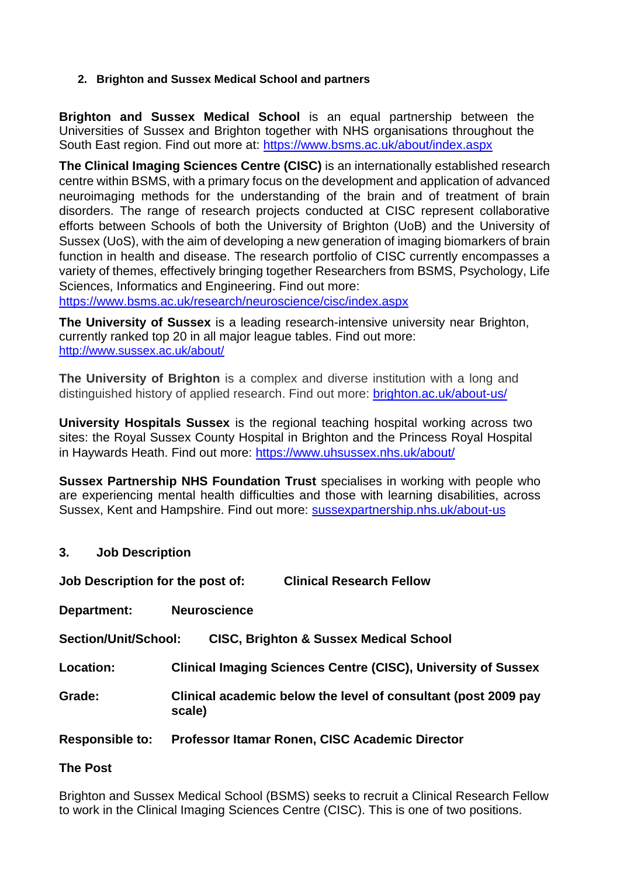## **2. Brighton and Sussex Medical School and partners**

**Brighton and Sussex Medical School** is an equal partnership between the Universities of Sussex and Brighton together with NHS organisations throughout the South East region. Find out more at:<https://www.bsms.ac.uk/about/index.aspx>

**The Clinical Imaging Sciences Centre (CISC)** is an internationally established research centre within BSMS, with a primary focus on the development and application of advanced neuroimaging methods for the understanding of the brain and of treatment of brain disorders. The range of research projects conducted at CISC represent collaborative efforts between Schools of both the University of Brighton (UoB) and the University of Sussex (UoS), with the aim of developing a new generation of imaging biomarkers of brain function in health and disease. The research portfolio of CISC currently encompasses a variety of themes, effectively bringing together Researchers from BSMS, Psychology, Life Sciences, Informatics and Engineering. Find out more:

<https://www.bsms.ac.uk/research/neuroscience/cisc/index.aspx>

**The University of Sussex** is a leading research-intensive university near Brighton, currently ranked top 20 in all major league tables. Find out more: <http://www.sussex.ac.uk/about/>

**The University of Brighton** is a complex and diverse institution with a long and distinguished history of applied research. Find out more: [brighton.ac.uk/about-us/](https://www.brighton.ac.uk/about-us/index.aspx)

**University Hospitals Sussex** is the regional teaching hospital working across two sites: the [Royal Sussex County Hospital i](http://www.bsuh.nhs.uk/hospitals/our-hospitals/royal-sussex-county-hospital/)n Brighton and the [Princess Royal Hospital](http://www.bsuh.nhs.uk/hospitals/our-hospitals/princess-royal-hospital/)  in Haywards Heath. Find out more:<https://www.uhsussex.nhs.uk/about/>

**Sussex Partnership NHS Foundation Trust** specialises in working with people who are experiencing mental health difficulties and those with learning disabilities, across Sussex, Kent and Hampshire. Find out more: [sussexpartnership.nhs.uk/about-us](https://www.sussexpartnership.nhs.uk/about-us)

**3. Job Description**

| Job Description for the post of: |                     | <b>Clinical Research Fellow</b>                                      |
|----------------------------------|---------------------|----------------------------------------------------------------------|
| Department:                      | <b>Neuroscience</b> |                                                                      |
| <b>Section/Unit/School:</b>      |                     | <b>CISC, Brighton &amp; Sussex Medical School</b>                    |
| Location:                        |                     | <b>Clinical Imaging Sciences Centre (CISC), University of Sussex</b> |
| Grade:                           | scale)              | Clinical academic below the level of consultant (post 2009 pay       |
| <b>Responsible to:</b>           |                     | Professor Itamar Ronen, CISC Academic Director                       |

### **The Post**

Brighton and Sussex Medical School (BSMS) seeks to recruit a Clinical Research Fellow to work in the Clinical Imaging Sciences Centre (CISC). This is one of two positions.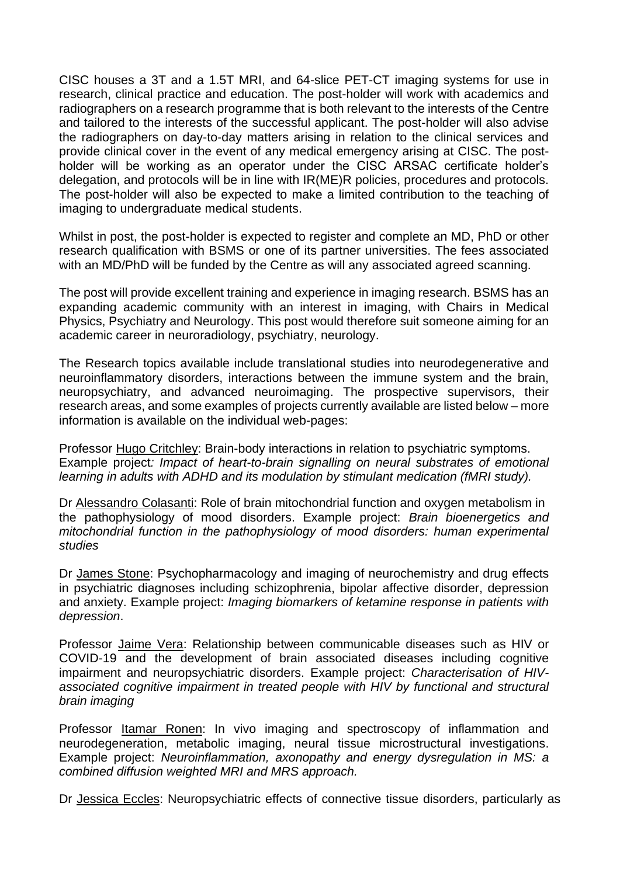CISC houses a 3T and a 1.5T MRI, and 64-slice PET-CT imaging systems for use in research, clinical practice and education. The post-holder will work with academics and radiographers on a research programme that is both relevant to the interests of the Centre and tailored to the interests of the successful applicant. The post-holder will also advise the radiographers on day-to-day matters arising in relation to the clinical services and provide clinical cover in the event of any medical emergency arising at CISC. The postholder will be working as an operator under the CISC ARSAC certificate holder's delegation, and protocols will be in line with IR(ME)R policies, procedures and protocols. The post-holder will also be expected to make a limited contribution to the teaching of imaging to undergraduate medical students.

Whilst in post, the post-holder is expected to register and complete an MD, PhD or other research qualification with BSMS or one of its partner universities. The fees associated with an MD/PhD will be funded by the Centre as will any associated agreed scanning.

The post will provide excellent training and experience in imaging research. BSMS has an expanding academic community with an interest in imaging, with Chairs in Medical Physics, Psychiatry and Neurology. This post would therefore suit someone aiming for an academic career in neuroradiology, psychiatry, neurology.

The Research topics available include translational studies into neurodegenerative and neuroinflammatory disorders, interactions between the immune system and the brain, neuropsychiatry, and advanced neuroimaging. The prospective supervisors, their research areas, and some examples of projects currently available are listed below – more information is available on the individual web-pages:

Professor Hugo Critchley: Brain-body interactions in relation to psychiatric symptoms. Example project*: Impact of heart-to-brain signalling on neural substrates of emotional learning in adults with ADHD and its modulation by stimulant medication (fMRI study).*

Dr Alessandro Colasanti: Role of brain mitochondrial function and oxygen metabolism in the pathophysiology of mood disorders. Example project: *Brain bioenergetics and mitochondrial function in the pathophysiology of mood disorders: human experimental studies*

Dr James Stone: Psychopharmacology and imaging of neurochemistry and drug effects in psychiatric diagnoses including schizophrenia, bipolar affective disorder, depression and anxiety. Example project: *Imaging biomarkers of ketamine response in patients with depression*.

Professor Jaime Vera: Relationship between communicable diseases such as HIV or COVID-19 and the development of brain associated diseases including cognitive impairment and neuropsychiatric disorders. Example project: *Characterisation of HIVassociated cognitive impairment in treated people with HIV by functional and structural brain imaging*

Professor Itamar Ronen: In vivo imaging and spectroscopy of inflammation and neurodegeneration, metabolic imaging, neural tissue microstructural investigations. Example project: *Neuroinflammation, axonopathy and energy dysregulation in MS: a combined diffusion weighted MRI and MRS approach.*

Dr Jessica Eccles: Neuropsychiatric effects of connective tissue disorders, particularly as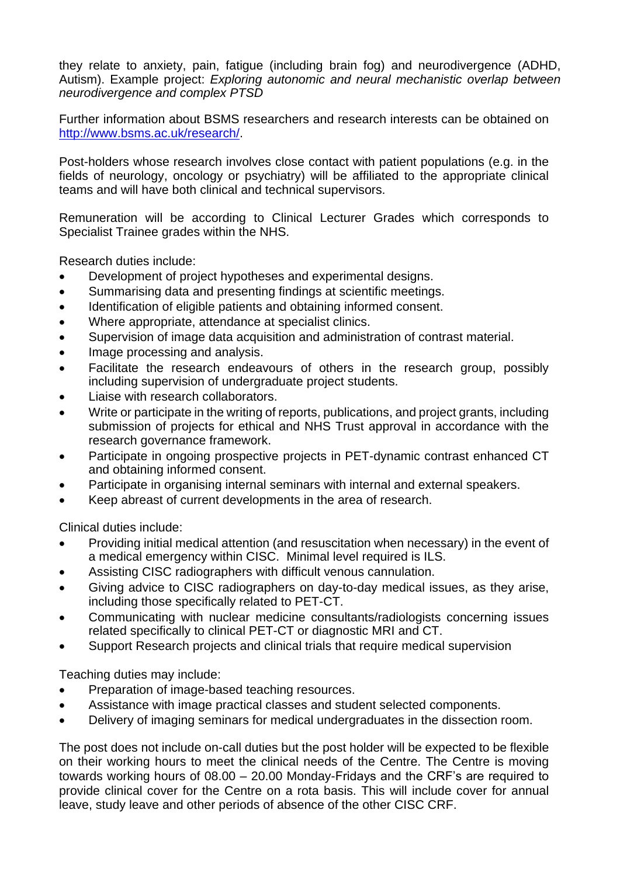they relate to anxiety, pain, fatigue (including brain fog) and neurodivergence (ADHD, Autism). Example project: *Exploring autonomic and neural mechanistic overlap between neurodivergence and complex PTSD*

Further information about BSMS researchers and research interests can be obtained on [http://www.bsms.ac.uk/research/.](http://www.bsms.ac.uk/research/)

Post-holders whose research involves close contact with patient populations (e.g. in the fields of neurology, oncology or psychiatry) will be affiliated to the appropriate clinical teams and will have both clinical and technical supervisors.

Remuneration will be according to Clinical Lecturer Grades which corresponds to Specialist Trainee grades within the NHS.

Research duties include:

- Development of project hypotheses and experimental designs.
- Summarising data and presenting findings at scientific meetings.
- Identification of eligible patients and obtaining informed consent.
- Where appropriate, attendance at specialist clinics.
- Supervision of image data acquisition and administration of contrast material.
- Image processing and analysis.
- Facilitate the research endeavours of others in the research group, possibly including supervision of undergraduate project students.
- Liaise with research collaborators.
- Write or participate in the writing of reports, publications, and project grants, including submission of projects for ethical and NHS Trust approval in accordance with the research governance framework.
- Participate in ongoing prospective projects in PET-dynamic contrast enhanced CT and obtaining informed consent.
- Participate in organising internal seminars with internal and external speakers.
- Keep abreast of current developments in the area of research.

Clinical duties include:

- Providing initial medical attention (and resuscitation when necessary) in the event of a medical emergency within CISC. Minimal level required is ILS.
- Assisting CISC radiographers with difficult venous cannulation.
- Giving advice to CISC radiographers on day-to-day medical issues, as they arise, including those specifically related to PET-CT.
- Communicating with nuclear medicine consultants/radiologists concerning issues related specifically to clinical PET-CT or diagnostic MRI and CT.
- Support Research projects and clinical trials that require medical supervision

Teaching duties may include:

- Preparation of image-based teaching resources.
- Assistance with image practical classes and student selected components.
- Delivery of imaging seminars for medical undergraduates in the dissection room.

The post does not include on-call duties but the post holder will be expected to be flexible on their working hours to meet the clinical needs of the Centre. The Centre is moving towards working hours of 08.00 – 20.00 Monday-Fridays and the CRF's are required to provide clinical cover for the Centre on a rota basis. This will include cover for annual leave, study leave and other periods of absence of the other CISC CRF.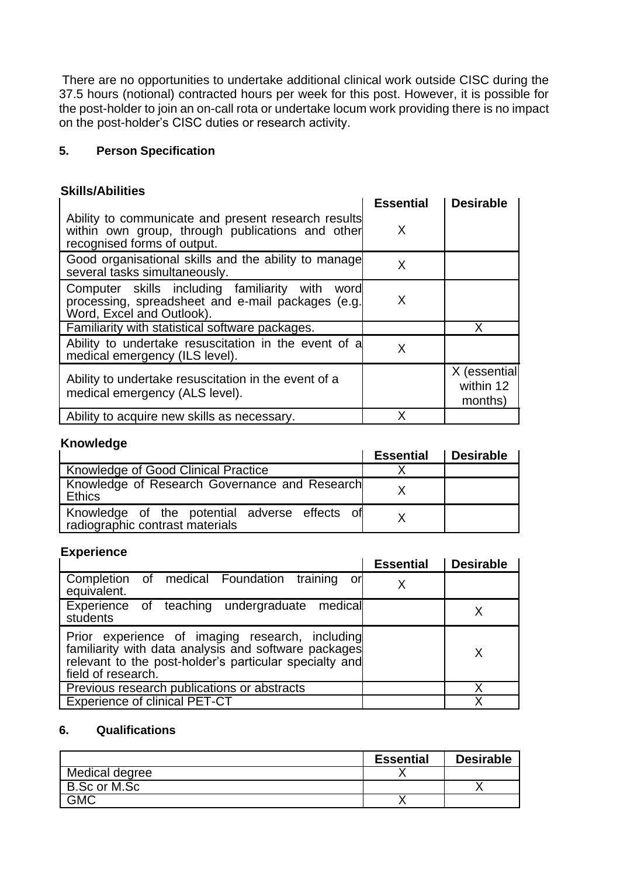There are no opportunities to undertake additional clinical work outside CISC during the 37.5 hours (notional) contracted hours per week for this post. However, it is possible for the post-holder to join an on-call rota or undertake locum work providing there is no impact on the post-holder's CISC duties or research activity.

## **5. Person Specification**

## **Skills/Abilities**

|                                                                                                                                        | <b>Essential</b> | <b>Desirable</b>                     |
|----------------------------------------------------------------------------------------------------------------------------------------|------------------|--------------------------------------|
| Ability to communicate and present research results<br>within own group, through publications and other<br>recognised forms of output. | X                |                                      |
| Good organisational skills and the ability to manage<br>several tasks simultaneously.                                                  | X                |                                      |
| Computer skills including familiarity with<br>word<br>processing, spreadsheet and e-mail packages (e.g.<br>Word, Excel and Outlook).   | X                |                                      |
| Familiarity with statistical software packages.                                                                                        |                  | x                                    |
| Ability to undertake resuscitation in the event of a<br>medical emergency (ILS level).                                                 | X                |                                      |
| Ability to undertake resuscitation in the event of a<br>medical emergency (ALS level).                                                 |                  | X (essential<br>within 12<br>months) |
| Ability to acquire new skills as necessary.                                                                                            |                  |                                      |

# **Knowledge**

|                                                                                  | <b>Essential</b> | <b>Desirable</b> |
|----------------------------------------------------------------------------------|------------------|------------------|
| <b>Knowledge of Good Clinical Practice</b>                                       |                  |                  |
| Knowledge of Research Governance and Research<br>Ethics                          |                  |                  |
| Knowledge of the potential adverse effects of<br>radiographic contrast materials |                  |                  |

### **Experience**

|                                                                                                                                                                                         | <b>Essential</b> | <b>Desirable</b> |
|-----------------------------------------------------------------------------------------------------------------------------------------------------------------------------------------|------------------|------------------|
| Completion of medical Foundation training or<br>equivalent.                                                                                                                             |                  |                  |
| Experience of teaching undergraduate<br>medical<br>students                                                                                                                             |                  |                  |
| Prior experience of imaging research, including<br>familiarity with data analysis and software packages<br>relevant to the post-holder's particular specialty and<br>field of research. |                  | X                |
| Previous research publications or abstracts                                                                                                                                             |                  |                  |
| <b>Experience of clinical PET-CT</b>                                                                                                                                                    |                  |                  |

# **6. Qualifications**

|                | <b>Essential</b> | <b>Desirable</b> |
|----------------|------------------|------------------|
| Medical degree |                  |                  |
| B.Sc or M.Sc   |                  |                  |
| GMC            |                  |                  |